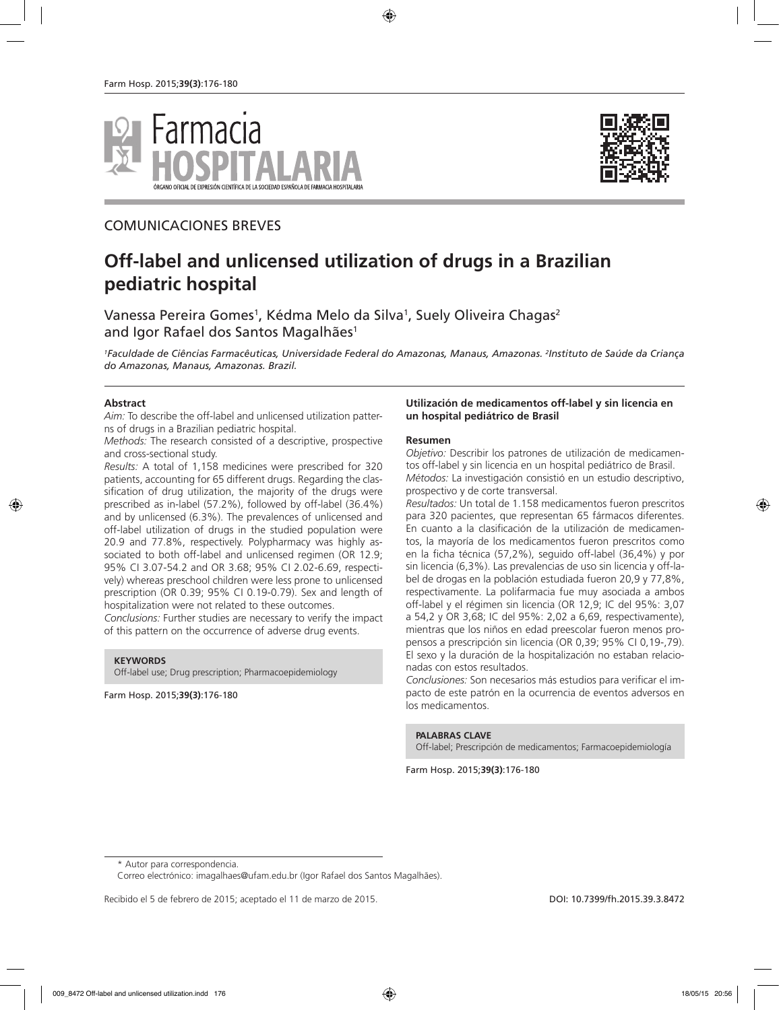



# COMUNICACIONES BREVES

# **Off-label and unlicensed utilization of drugs in a Brazilian pediatric hospital**

Vanessa Pereira Gomes<sup>1</sup>, Kédma Melo da Silva<sup>1</sup>, Suely Oliveira Chagas<sup>2</sup> and Igor Rafael dos Santos Magalhães<sup>1</sup>

*1 Faculdade de Ciências Farmacêuticas, Universidade Federal do Amazonas, Manaus, Amazonas. 2 Instituto de Saúde da Criança do Amazonas, Manaus, Amazonas. Brazil.*

#### **Abstract**

*Aim:* To describe the off-label and unlicensed utilization patterns of drugs in a Brazilian pediatric hospital.

*Methods:* The research consisted of a descriptive, prospective and cross-sectional study.

*Results:* A total of 1,158 medicines were prescribed for 320 patients, accounting for 65 different drugs. Regarding the classification of drug utilization, the majority of the drugs were prescribed as in-label (57.2%), followed by off-label (36.4%) and by unlicensed (6.3%). The prevalences of unlicensed and off-label utilization of drugs in the studied population were 20.9 and 77.8%, respectively. Polypharmacy was highly associated to both off-label and unlicensed regimen (OR 12.9; 95% CI 3.07-54.2 and OR 3.68; 95% CI 2.02-6.69, respectively) whereas preschool children were less prone to unlicensed prescription (OR 0.39; 95% CI 0.19-0.79). Sex and length of hospitalization were not related to these outcomes.

*Conclusions:* Further studies are necessary to verify the impact of this pattern on the occurrence of adverse drug events.

#### **KEYWORDS**

Off-label use; Drug prescription; Pharmacoepidemiology

Farm Hosp. 2015;**39(3)**:176-180

#### **Utilización de medicamentos off-label y sin licencia en un hospital pediátrico de Brasil**

#### **Resumen**

*Objetivo:* Describir los patrones de utilización de medicamentos off-label y sin licencia en un hospital pediátrico de Brasil. *Métodos:* La investigación consistió en un estudio descriptivo, prospectivo y de corte transversal.

*Resultados:* Un total de 1.158 medicamentos fueron prescritos para 320 pacientes, que representan 65 fármacos diferentes. En cuanto a la clasificación de la utilización de medicamentos, la mayoría de los medicamentos fueron prescritos como en la ficha técnica (57,2%), seguido off-label (36,4%) y por sin licencia (6,3%). Las prevalencias de uso sin licencia y off-label de drogas en la población estudiada fueron 20,9 y 77,8%, respectivamente. La polifarmacia fue muy asociada a ambos off-label y el régimen sin licencia (OR 12,9; IC del 95%: 3,07 a 54,2 y OR 3,68; IC del 95%: 2,02 a 6,69, respectivamente), mientras que los niños en edad preescolar fueron menos propensos a prescripción sin licencia (OR 0,39; 95% CI 0,19-,79). El sexo y la duración de la hospitalización no estaban relacionadas con estos resultados.

*Conclusiones:* Son necesarios más estudios para verificar el impacto de este patrón en la ocurrencia de eventos adversos en los medicamentos.

#### **PALABRAS CLAVE**

Off-label; Prescripción de medicamentos; Farmacoepidemiología

Farm Hosp. 2015;**39(3)**:176-180

\* Autor para correspondencia.

Correo electrónico: imagalhaes@ufam.edu.br (Igor Rafael dos Santos Magalhães).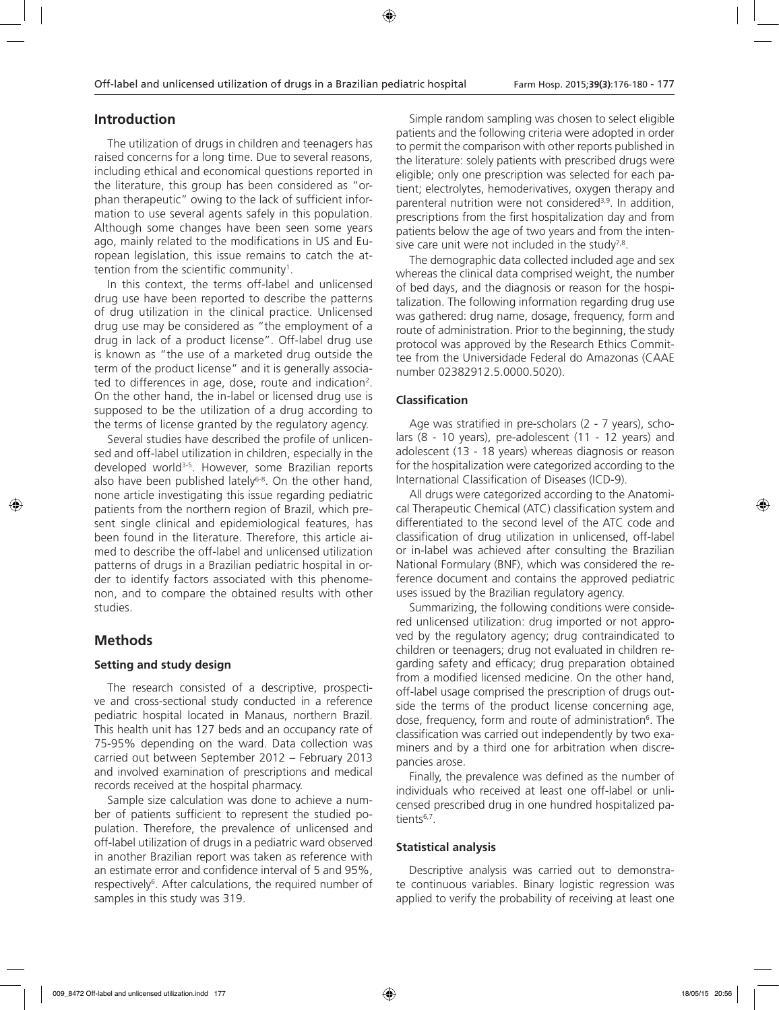### **Introduction**

The utilization of drugs in children and teenagers has raised concerns for a long time. Due to several reasons, including ethical and economical questions reported in the literature, this group has been considered as "orphan therapeutic" owing to the lack of sufficient information to use several agents safely in this population. Although some changes have been seen some years ago, mainly related to the modifications in US and European legislation, this issue remains to catch the attention from the scientific community $^{\rm 1}.$ 

In this context, the terms off-label and unlicensed drug use have been reported to describe the patterns of drug utilization in the clinical practice. Unlicensed drug use may be considered as "the employment of a drug in lack of a product license". Off-label drug use is known as "the use of a marketed drug outside the term of the product license" and it is generally associated to differences in age, dose, route and indication2 . On the other hand, the in-label or licensed drug use is supposed to be the utilization of a drug according to the terms of license granted by the regulatory agency.

Several studies have described the profile of unlicensed and off-label utilization in children, especially in the developed world3-5. However, some Brazilian reports also have been published lately<sup>6-8</sup>. On the other hand, none article investigating this issue regarding pediatric patients from the northern region of Brazil, which present single clinical and epidemiological features, has been found in the literature. Therefore, this article aimed to describe the off-label and unlicensed utilization patterns of drugs in a Brazilian pediatric hospital in order to identify factors associated with this phenomenon, and to compare the obtained results with other studies.

## **Methods**

### **Setting and study design**

The research consisted of a descriptive, prospective and cross-sectional study conducted in a reference pediatric hospital located in Manaus, northern Brazil. This health unit has 127 beds and an occupancy rate of 75-95% depending on the ward. Data collection was carried out between September 2012 – February 2013 and involved examination of prescriptions and medical records received at the hospital pharmacy.

Sample size calculation was done to achieve a number of patients sufficient to represent the studied population. Therefore, the prevalence of unlicensed and off-label utilization of drugs in a pediatric ward observed in another Brazilian report was taken as reference with an estimate error and confidence interval of 5 and 95%, respectively<sup>6</sup>. After calculations, the required number of samples in this study was 319.

Simple random sampling was chosen to select eligible patients and the following criteria were adopted in order to permit the comparison with other reports published in the literature: solely patients with prescribed drugs were eligible; only one prescription was selected for each patient; electrolytes, hemoderivatives, oxygen therapy and parenteral nutrition were not considered<sup>3,9</sup>. In addition, prescriptions from the first hospitalization day and from patients below the age of two years and from the intensive care unit were not included in the study<sup>7,8</sup>.

The demographic data collected included age and sex whereas the clinical data comprised weight, the number of bed days, and the diagnosis or reason for the hospitalization. The following information regarding drug use was gathered: drug name, dosage, frequency, form and route of administration. Prior to the beginning, the study protocol was approved by the Research Ethics Committee from the Universidade Federal do Amazonas (CAAE number 02382912.5.0000.5020).

### **Classification**

Age was stratified in pre-scholars (2 - 7 years), scholars (8 - 10 years), pre-adolescent (11 - 12 years) and adolescent (13 - 18 years) whereas diagnosis or reason for the hospitalization were categorized according to the International Classification of Diseases (ICD-9).

All drugs were categorized according to the Anatomical Therapeutic Chemical (ATC) classification system and differentiated to the second level of the ATC code and classification of drug utilization in unlicensed, off-label or in-label was achieved after consulting the Brazilian National Formulary (BNF), which was considered the reference document and contains the approved pediatric uses issued by the Brazilian regulatory agency.

Summarizing, the following conditions were considered unlicensed utilization: drug imported or not approved by the regulatory agency; drug contraindicated to children or teenagers; drug not evaluated in children regarding safety and efficacy; drug preparation obtained from a modified licensed medicine. On the other hand, off-label usage comprised the prescription of drugs outside the terms of the product license concerning age, dose, frequency, form and route of administration<sup>6</sup>. The classification was carried out independently by two examiners and by a third one for arbitration when discrepancies arose.

Finally, the prevalence was defined as the number of individuals who received at least one off-label or unlicensed prescribed drug in one hundred hospitalized patients<sup>6,7</sup>.

### **Statistical analysis**

Descriptive analysis was carried out to demonstrate continuous variables. Binary logistic regression was applied to verify the probability of receiving at least one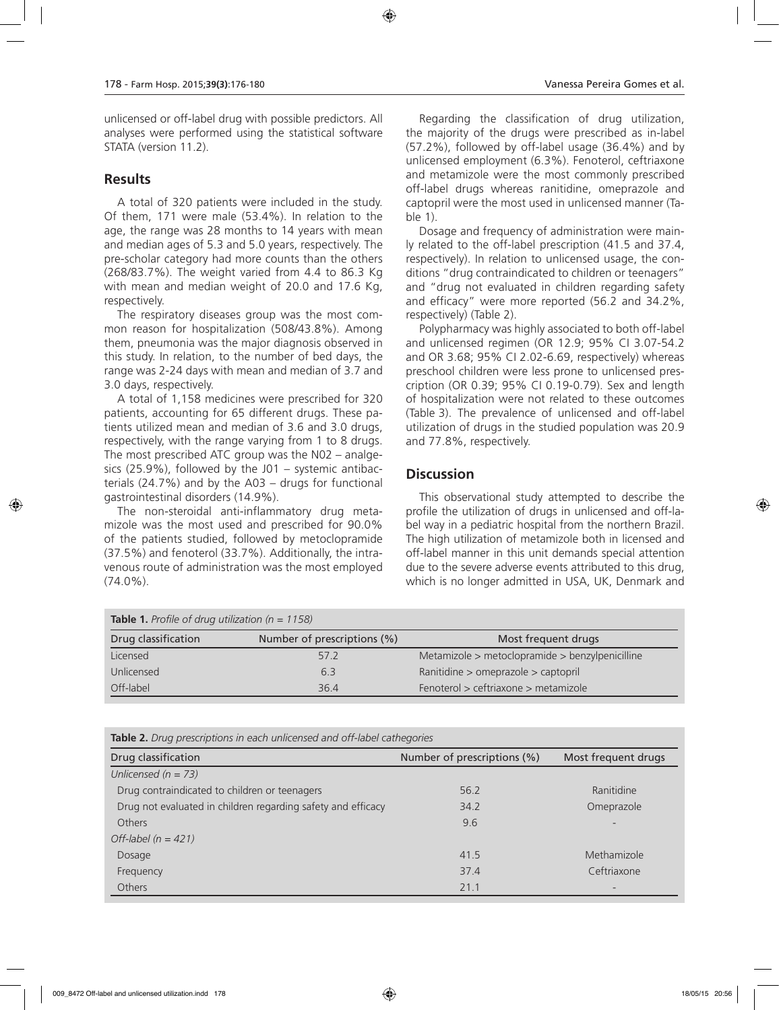unlicensed or off-label drug with possible predictors. All analyses were performed using the statistical software STATA (version 11.2).

### **Results**

A total of 320 patients were included in the study. Of them, 171 were male (53.4%). In relation to the age, the range was 28 months to 14 years with mean and median ages of 5.3 and 5.0 years, respectively. The pre-scholar category had more counts than the others (268/83.7%). The weight varied from 4.4 to 86.3 Kg with mean and median weight of 20.0 and 17.6 Kg, respectively.

The respiratory diseases group was the most common reason for hospitalization (508/43.8%). Among them, pneumonia was the major diagnosis observed in this study. In relation, to the number of bed days, the range was 2-24 days with mean and median of 3.7 and 3.0 days, respectively.

A total of 1,158 medicines were prescribed for 320 patients, accounting for 65 different drugs. These patients utilized mean and median of 3.6 and 3.0 drugs, respectively, with the range varying from 1 to 8 drugs. The most prescribed ATC group was the N02 – analgesics (25.9%), followed by the J01 – systemic antibacterials (24.7%) and by the A03 – drugs for functional gastrointestinal disorders (14.9%).

The non-steroidal anti-inflammatory drug metamizole was the most used and prescribed for 90.0% of the patients studied, followed by metoclopramide (37.5%) and fenoterol (33.7%). Additionally, the intravenous route of administration was the most employed (74.0%).

Regarding the classification of drug utilization, the majority of the drugs were prescribed as in-label (57.2%), followed by off-label usage (36.4%) and by unlicensed employment (6.3%). Fenoterol, ceftriaxone and metamizole were the most commonly prescribed off-label drugs whereas ranitidine, omeprazole and captopril were the most used in unlicensed manner (Table 1).

Dosage and frequency of administration were mainly related to the off-label prescription (41.5 and 37.4, respectively). In relation to unlicensed usage, the conditions "drug contraindicated to children or teenagers" and "drug not evaluated in children regarding safety and efficacy" were more reported (56.2 and 34.2%, respectively) (Table 2).

Polypharmacy was highly associated to both off-label and unlicensed regimen (OR 12.9; 95% CI 3.07-54.2 and OR 3.68; 95% CI 2.02-6.69, respectively) whereas preschool children were less prone to unlicensed prescription (OR 0.39; 95% CI 0.19-0.79). Sex and length of hospitalization were not related to these outcomes (Table 3). The prevalence of unlicensed and off-label utilization of drugs in the studied population was 20.9 and 77.8%, respectively.

# **Discussion**

This observational study attempted to describe the profile the utilization of drugs in unlicensed and off-label way in a pediatric hospital from the northern Brazil. The high utilization of metamizole both in licensed and off-label manner in this unit demands special attention due to the severe adverse events attributed to this drug, which is no longer admitted in USA, UK, Denmark and

| <b>Table 1.</b> Profile of drug utilization ( $n = 1158$ ) |                             |                                                 |  |  |  |  |
|------------------------------------------------------------|-----------------------------|-------------------------------------------------|--|--|--|--|
| Drug classification                                        | Number of prescriptions (%) | Most frequent drugs                             |  |  |  |  |
| Licensed                                                   | 57.2                        | Metamizole > metoclopramide > benzylpenicilline |  |  |  |  |
| Unlicensed                                                 | 6.3                         | Ranitidine > omeprazole > captopril             |  |  |  |  |
| Off-label                                                  | 36.4                        | Fenoterol > ceftriaxone > metamizole            |  |  |  |  |

|  | Table 2. Drug prescriptions in each unlicensed and off-label cathegories |  |  |  |  |  |
|--|--------------------------------------------------------------------------|--|--|--|--|--|
|--|--------------------------------------------------------------------------|--|--|--|--|--|

| Drug classification                                          | Number of prescriptions (%) | Most frequent drugs      |
|--------------------------------------------------------------|-----------------------------|--------------------------|
| Unlicensed $(n = 73)$                                        |                             |                          |
| Drug contraindicated to children or teenagers                | 56.2                        | Ranitidine               |
| Drug not evaluated in children regarding safety and efficacy | 34.2                        | Omeprazole               |
| <b>Others</b>                                                | 9.6                         | $\overline{\phantom{0}}$ |
| Off-label $(n = 421)$                                        |                             |                          |
| Dosage                                                       | 41.5                        | Methamizole              |
| Frequency                                                    | 37.4                        | Ceftriaxone              |
| <b>Others</b>                                                | 21.1                        | $\overline{\phantom{0}}$ |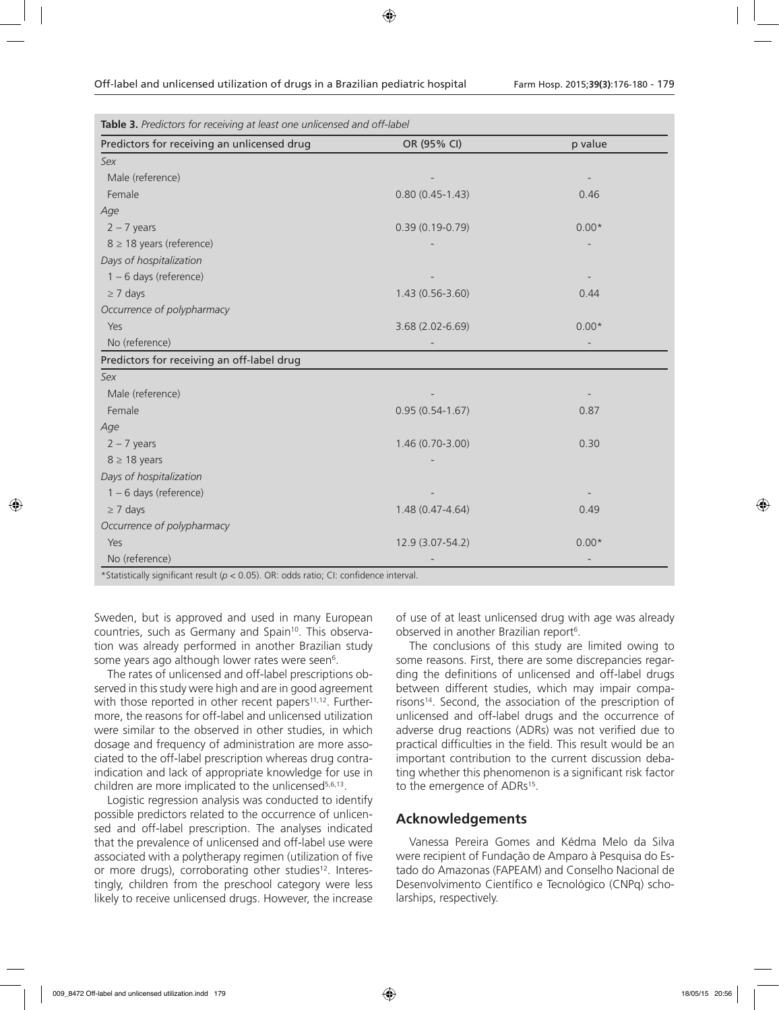| Table 3. Predictors for receiving at least one unlicensed and off-label |                     |         |  |  |  |
|-------------------------------------------------------------------------|---------------------|---------|--|--|--|
| Predictors for receiving an unlicensed drug                             | OR (95% CI)         | p value |  |  |  |
| Sex                                                                     |                     |         |  |  |  |
| Male (reference)                                                        |                     |         |  |  |  |
| Female                                                                  | $0.80(0.45-1.43)$   | 0.46    |  |  |  |
| Age                                                                     |                     |         |  |  |  |
| $2 - 7$ years                                                           | $0.39(0.19-0.79)$   | $0.00*$ |  |  |  |
| $8 \geq 18$ years (reference)                                           |                     |         |  |  |  |
| Days of hospitalization                                                 |                     |         |  |  |  |
| $1 - 6$ days (reference)                                                |                     |         |  |  |  |
| $\geq$ 7 days                                                           | $1.43(0.56 - 3.60)$ | 0.44    |  |  |  |
| Occurrence of polypharmacy                                              |                     |         |  |  |  |
| Yes                                                                     | 3.68 (2.02-6.69)    | $0.00*$ |  |  |  |
| No (reference)                                                          |                     |         |  |  |  |
| Predictors for receiving an off-label drug                              |                     |         |  |  |  |
| Sex                                                                     |                     |         |  |  |  |
| Male (reference)                                                        |                     |         |  |  |  |
| Female                                                                  | $0.95(0.54-1.67)$   | 0.87    |  |  |  |
| Age                                                                     |                     |         |  |  |  |
| $2 - 7$ years                                                           | 1.46 (0.70-3.00)    | 0.30    |  |  |  |
| $8 \geq 18$ years                                                       |                     |         |  |  |  |
| Days of hospitalization                                                 |                     |         |  |  |  |
| $1 - 6$ days (reference)                                                |                     |         |  |  |  |
| $\geq$ 7 days                                                           | $1.48(0.47 - 4.64)$ | 0.49    |  |  |  |
| Occurrence of polypharmacy                                              |                     |         |  |  |  |
| Yes                                                                     | 12.9 (3.07-54.2)    | $0.00*$ |  |  |  |
| No (reference)                                                          |                     |         |  |  |  |

Statistically significant result (*p <* 0.05). OR: odds ratio; CI: confidence

Sweden, but is approved and used in many European countries, such as Germany and Spain<sup>10</sup>. This observation was already performed in another Brazilian study some years ago although lower rates were seen<sup>6</sup>.

The rates of unlicensed and off-label prescriptions observed in this study were high and are in good agreement with those reported in other recent papers<sup>11,12</sup>. Furthermore, the reasons for off-label and unlicensed utilization were similar to the observed in other studies, in which dosage and frequency of administration are more associated to the off-label prescription whereas drug contraindication and lack of appropriate knowledge for use in children are more implicated to the unlicensed<sup>5,6,13</sup>.

Logistic regression analysis was conducted to identify possible predictors related to the occurrence of unlicensed and off-label prescription. The analyses indicated that the prevalence of unlicensed and off-label use were associated with a polytherapy regimen (utilization of five or more drugs), corroborating other studies<sup>12</sup>. Interestingly, children from the preschool category were less likely to receive unlicensed drugs. However, the increase

of use of at least unlicensed drug with age was already observed in another Brazilian report<sup>6</sup>.

The conclusions of this study are limited owing to some reasons. First, there are some discrepancies regarding the definitions of unlicensed and off-label drugs between different studies, which may impair comparisons<sup>14</sup>. Second, the association of the prescription of unlicensed and off-label drugs and the occurrence of adverse drug reactions (ADRs) was not verified due to practical difficulties in the field. This result would be an important contribution to the current discussion debating whether this phenomenon is a significant risk factor to the emergence of ADRs<sup>15</sup>.

### **Acknowledgements**

Vanessa Pereira Gomes and Kédma Melo da Silva were recipient of Fundação de Amparo à Pesquisa do Estado do Amazonas (FAPEAM) and Conselho Nacional de Desenvolvimento Científico e Tecnológico (CNPq) scholarships, respectively.